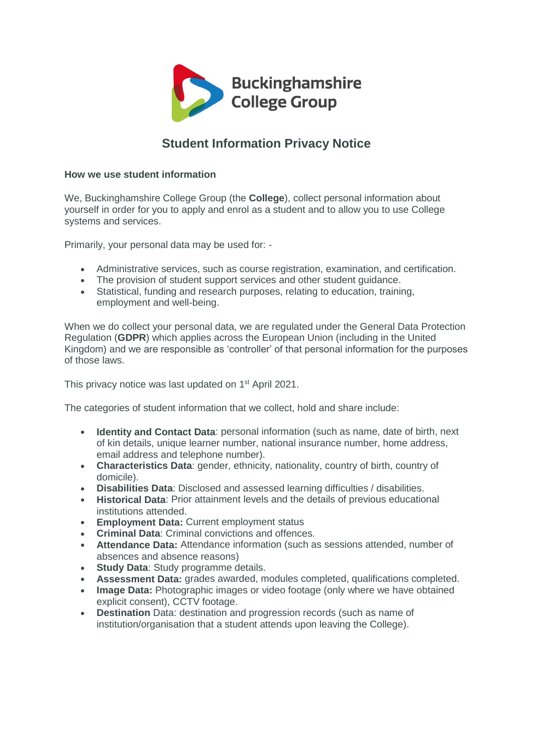

# **Student Information Privacy Notice**

# **How we use student information**

We, Buckinghamshire College Group (the **College**), collect personal information about yourself in order for you to apply and enrol as a student and to allow you to use College systems and services.

Primarily, your personal data may be used for: -

- Administrative services, such as course registration, examination, and certification.
- The provision of student support services and other student guidance.
- Statistical, funding and research purposes, relating to education, training, employment and well-being.

When we do collect your personal data, we are regulated under the General Data Protection Regulation (**GDPR**) which applies across the European Union (including in the United Kingdom) and we are responsible as 'controller' of that personal information for the purposes of those laws.

This privacy notice was last updated on 1<sup>st</sup> April 2021.

The categories of student information that we collect, hold and share include:

- **Identity and Contact Data**: personal information (such as name, date of birth, next of kin details, unique learner number, national insurance number, home address, email address and telephone number).
- **Characteristics Data**: gender, ethnicity, nationality, country of birth, country of domicile).
- **Disabilities Data**: Disclosed and assessed learning difficulties / disabilities.
- **Historical Data**: Prior attainment levels and the details of previous educational institutions attended.
- **Employment Data:** Current employment status
- **Criminal Data**: Criminal convictions and offences.
- **Attendance Data:** Attendance information (such as sessions attended, number of absences and absence reasons)
- **Study Data**: Study programme details.
- **Assessment Data:** grades awarded, modules completed, qualifications completed.
- **Image Data:** Photographic images or video footage (only where we have obtained explicit consent), CCTV footage.
- **Destination** Data: destination and progression records (such as name of institution/organisation that a student attends upon leaving the College).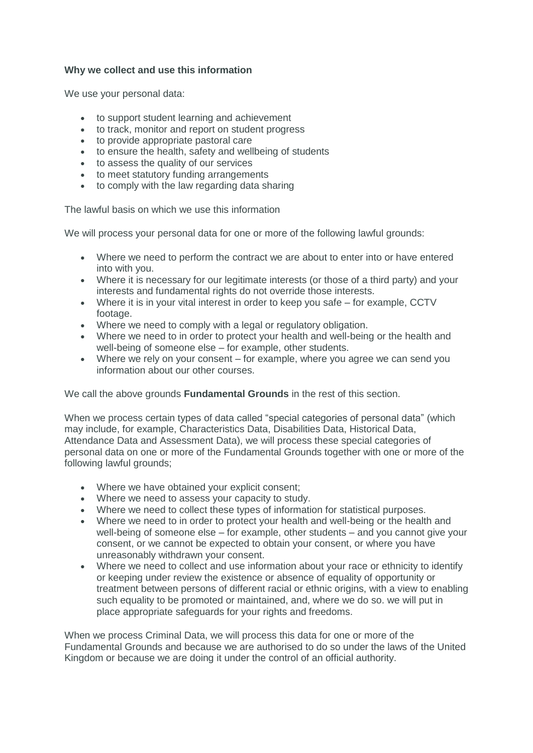## **Why we collect and use this information**

We use your personal data:

- to support student learning and achievement
- to track, monitor and report on student progress
- to provide appropriate pastoral care
- to ensure the health, safety and wellbeing of students
- to assess the quality of our services
- to meet statutory funding arrangements
- to comply with the law regarding data sharing

The lawful basis on which we use this information

We will process your personal data for one or more of the following lawful grounds:

- Where we need to perform the contract we are about to enter into or have entered into with you.
- Where it is necessary for our legitimate interests (or those of a third party) and your interests and fundamental rights do not override those interests.
- Where it is in your vital interest in order to keep you safe for example, CCTV footage.
- Where we need to comply with a legal or regulatory obligation.
- Where we need to in order to protect your health and well-being or the health and well-being of someone else – for example, other students.
- Where we rely on your consent for example, where you agree we can send you information about our other courses.

We call the above grounds **Fundamental Grounds** in the rest of this section.

When we process certain types of data called "special categories of personal data" (which may include, for example, Characteristics Data, Disabilities Data, Historical Data, Attendance Data and Assessment Data), we will process these special categories of personal data on one or more of the Fundamental Grounds together with one or more of the following lawful grounds;

- Where we have obtained your explicit consent;
- Where we need to assess your capacity to study.
- Where we need to collect these types of information for statistical purposes.
- Where we need to in order to protect your health and well-being or the health and well-being of someone else – for example, other students – and you cannot give your consent, or we cannot be expected to obtain your consent, or where you have unreasonably withdrawn your consent.
- Where we need to collect and use information about your race or ethnicity to identify or keeping under review the existence or absence of equality of opportunity or treatment between persons of different racial or ethnic origins, with a view to enabling such equality to be promoted or maintained, and, where we do so. we will put in place appropriate safeguards for your rights and freedoms.

When we process Criminal Data, we will process this data for one or more of the Fundamental Grounds and because we are authorised to do so under the laws of the United Kingdom or because we are doing it under the control of an official authority.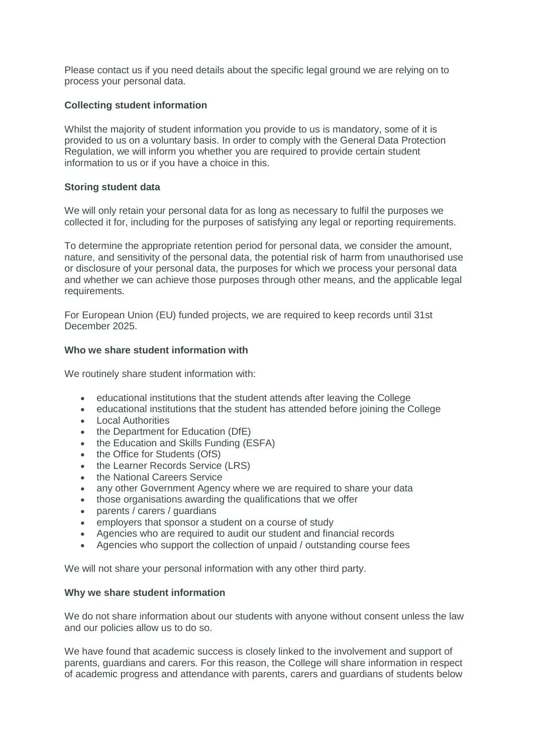Please contact us if you need details about the specific legal ground we are relying on to process your personal data.

## **Collecting student information**

Whilst the majority of student information you provide to us is mandatory, some of it is provided to us on a voluntary basis. In order to comply with the General Data Protection Regulation, we will inform you whether you are required to provide certain student information to us or if you have a choice in this.

#### **Storing student data**

We will only retain your personal data for as long as necessary to fulfil the purposes we collected it for, including for the purposes of satisfying any legal or reporting requirements.

To determine the appropriate retention period for personal data, we consider the amount, nature, and sensitivity of the personal data, the potential risk of harm from unauthorised use or disclosure of your personal data, the purposes for which we process your personal data and whether we can achieve those purposes through other means, and the applicable legal requirements.

For European Union (EU) funded projects, we are required to keep records until 31st December 2025.

## **Who we share student information with**

We routinely share student information with:

- educational institutions that the student attends after leaving the College
- educational institutions that the student has attended before joining the College
- Local Authorities
- the Department for Education (DfE)
- the Education and Skills Funding (ESFA)
- the Office for Students (OfS)
- the Learner Records Service (LRS)
- the National Careers Service
- any other Government Agency where we are required to share your data
- those organisations awarding the qualifications that we offer
- parents / carers / guardians
- employers that sponsor a student on a course of study
- Agencies who are required to audit our student and financial records
- Agencies who support the collection of unpaid / outstanding course fees

We will not share your personal information with any other third party.

#### **Why we share student information**

We do not share information about our students with anyone without consent unless the law and our policies allow us to do so.

We have found that academic success is closely linked to the involvement and support of parents, guardians and carers. For this reason, the College will share information in respect of academic progress and attendance with parents, carers and guardians of students below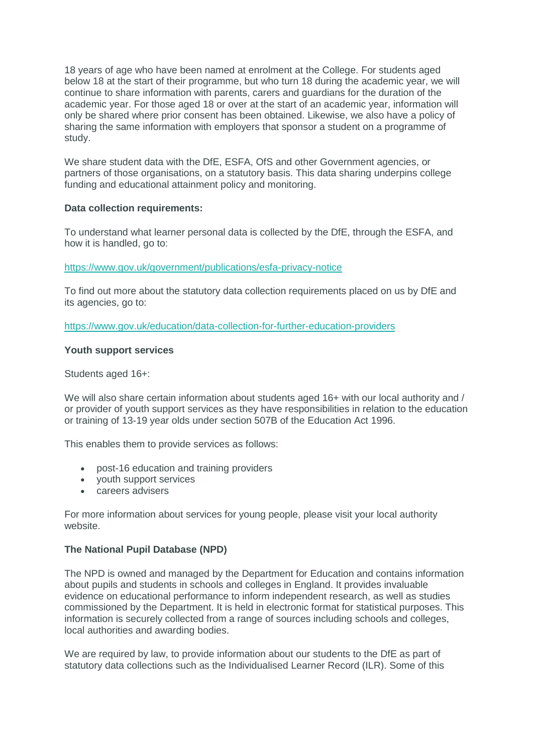18 years of age who have been named at enrolment at the College. For students aged below 18 at the start of their programme, but who turn 18 during the academic year, we will continue to share information with parents, carers and guardians for the duration of the academic year. For those aged 18 or over at the start of an academic year, information will only be shared where prior consent has been obtained. Likewise, we also have a policy of sharing the same information with employers that sponsor a student on a programme of study.

We share student data with the DfE, ESFA, OfS and other Government agencies, or partners of those organisations, on a statutory basis. This data sharing underpins college funding and educational attainment policy and monitoring.

## **Data collection requirements:**

To understand what learner personal data is collected by the DfE, through the ESFA, and how it is handled, go to:

<https://www.gov.uk/government/publications/esfa-privacy-notice>

To find out more about the statutory data collection requirements placed on us by DfE and its agencies, go to:

<https://www.gov.uk/education/data-collection-for-further-education-providers>

## **Youth support services**

Students aged 16+:

We will also share certain information about students aged 16+ with our local authority and / or provider of youth support services as they have responsibilities in relation to the education or training of 13-19 year olds under section 507B of the Education Act 1996.

This enables them to provide services as follows:

- post-16 education and training providers
- youth support services
- careers advisers

For more information about services for young people, please visit your local authority website.

## **The National Pupil Database (NPD)**

The NPD is owned and managed by the Department for Education and contains information about pupils and students in schools and colleges in England. It provides invaluable evidence on educational performance to inform independent research, as well as studies commissioned by the Department. It is held in electronic format for statistical purposes. This information is securely collected from a range of sources including schools and colleges, local authorities and awarding bodies.

We are required by law, to provide information about our students to the DfE as part of statutory data collections such as the Individualised Learner Record (ILR). Some of this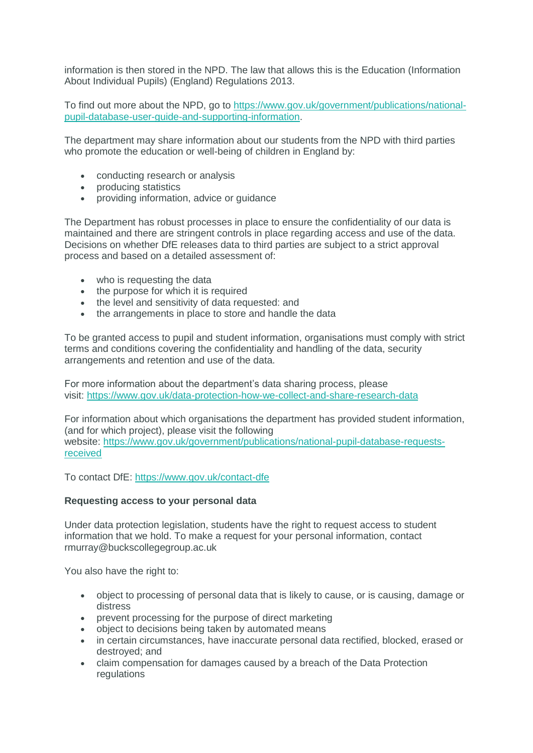information is then stored in the NPD. The law that allows this is the Education (Information About Individual Pupils) (England) Regulations 2013.

To find out more about the NPD, go to [https://www.gov.uk/government/publications/national](https://www.gov.uk/government/publications/national-pupil-database-user-guide-and-supporting-information)[pupil-database-user-guide-and-supporting-information.](https://www.gov.uk/government/publications/national-pupil-database-user-guide-and-supporting-information)

The department may share information about our students from the NPD with third parties who promote the education or well-being of children in England by:

- conducting research or analysis
- producing statistics
- providing information, advice or guidance

The Department has robust processes in place to ensure the confidentiality of our data is maintained and there are stringent controls in place regarding access and use of the data. Decisions on whether DfE releases data to third parties are subject to a strict approval process and based on a detailed assessment of:

- who is requesting the data
- the purpose for which it is required
- the level and sensitivity of data requested: and
- the arrangements in place to store and handle the data

To be granted access to pupil and student information, organisations must comply with strict terms and conditions covering the confidentiality and handling of the data, security arrangements and retention and use of the data.

For more information about the department's data sharing process, please visit: <https://www.gov.uk/data-protection-how-we-collect-and-share-research-data>

For information about which organisations the department has provided student information, (and for which project), please visit the following website: [https://www.gov.uk/government/publications/national-pupil-database-requests](https://www.gov.uk/government/publications/national-pupil-database-requests-received)[received](https://www.gov.uk/government/publications/national-pupil-database-requests-received)

To contact DfE: <https://www.gov.uk/contact-dfe>

#### **Requesting access to your personal data**

Under data protection legislation, students have the right to request access to student information that we hold. To make a request for your personal information, contact rmurray@buckscollegegroup.ac.uk

You also have the right to:

- object to processing of personal data that is likely to cause, or is causing, damage or distress
- prevent processing for the purpose of direct marketing
- object to decisions being taken by automated means
- in certain circumstances, have inaccurate personal data rectified, blocked, erased or destroyed; and
- claim compensation for damages caused by a breach of the Data Protection regulations